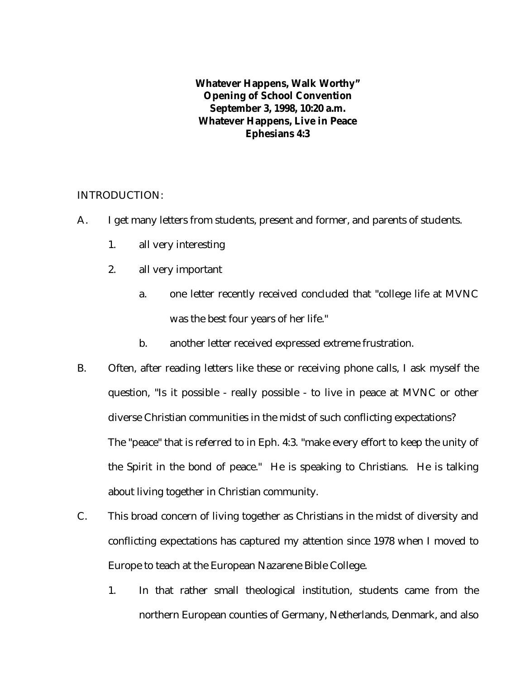**Whatever Happens, Walk Worthy" Opening of School Convention September 3, 1998, 10:20 a.m. Whatever Happens, Live in Peace Ephesians 4:3**

## INTRODUCTION:

- A. I get many letters from students, present and former, and parents of students.
	- 1. all very interesting
	- 2. all very important
		- a. one letter recently received concluded that "college life at MVNC was the best four years of her life."
		- b. another letter received expressed extreme frustration.
- B. Often, after reading letters like these or receiving phone calls, I ask myself the question, "Is it possible - really possible - to live in peace at MVNC or other diverse Christian communities in the midst of such conflicting expectations? The "peace" that is referred to in Eph. 4:3. "make every effort to keep the unity of the Spirit in the bond of peace." He is speaking to Christians. He is talking about living together in Christian community.
- C. This broad concern of living together as Christians in the midst of diversity and conflicting expectations has captured my attention since 1978 when I moved to Europe to teach at the European Nazarene Bible College.
	- 1. In that rather small theological institution, students came from the northern European counties of Germany, Netherlands, Denmark, and also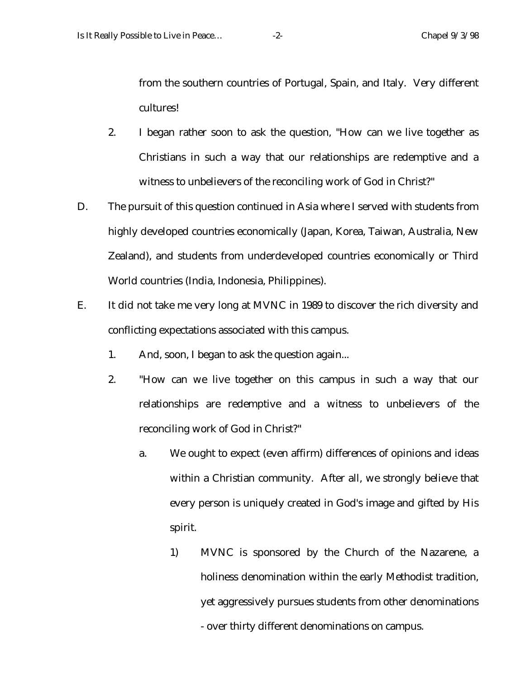from the southern countries of Portugal, Spain, and Italy. Very different cultures!

- 2. I began rather soon to ask the question, "How can we live together as Christians in such a way that our relationships are redemptive and a witness to unbelievers of the reconciling work of God in Christ?"
- D. The pursuit of this question continued in Asia where I served with students from highly developed countries economically (Japan, Korea, Taiwan, Australia, New Zealand), and students from underdeveloped countries economically or Third World countries (India, Indonesia, Philippines).
- E. It did not take me very long at MVNC in 1989 to discover the rich diversity and conflicting expectations associated with this campus.
	- 1. And, soon, I began to ask the question again...
	- 2. "How can we live together on this campus in such a way that our relationships are redemptive and a witness to unbelievers of the reconciling work of God in Christ?"
		- a. We ought to expect (even affirm) differences of opinions and ideas within a Christian community. After all, we strongly believe that every person is uniquely created in God's image and gifted by His spirit.
			- 1) MVNC is sponsored by the Church of the Nazarene, a holiness denomination within the early Methodist tradition, yet aggressively pursues students from other denominations - over thirty different denominations on campus.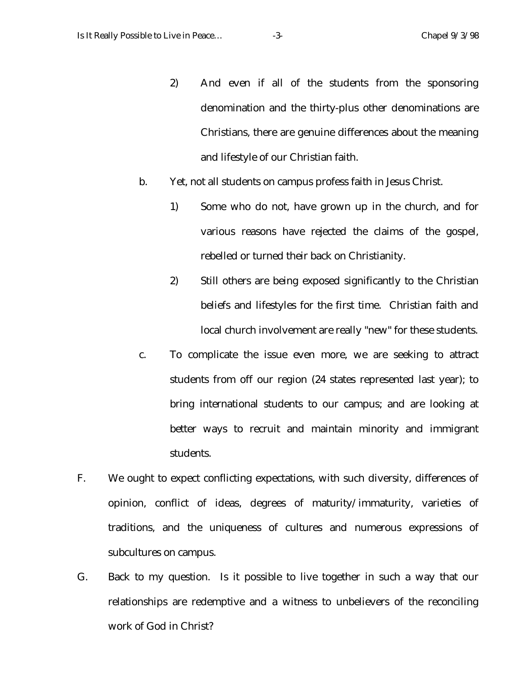- 2) And even if all of the students from the sponsoring denomination and the thirty-plus other denominations are Christians, there are genuine differences about the meaning and lifestyle of our Christian faith.
- b. Yet, not all students on campus profess faith in Jesus Christ.
	- 1) Some who do not, have grown up in the church, and for various reasons have rejected the claims of the gospel, rebelled or turned their back on Christianity.
	- 2) Still others are being exposed significantly to the Christian beliefs and lifestyles for the first time. Christian faith and local church involvement are really "new" for these students.
- c. To complicate the issue even more, we are seeking to attract students from off our region (24 states represented last year); to bring international students to our campus; and are looking at better ways to recruit and maintain minority and immigrant students.
- F. We ought to expect conflicting expectations, with such diversity, differences of opinion, conflict of ideas, degrees of maturity/immaturity, varieties of traditions, and the uniqueness of cultures and numerous expressions of subcultures on campus.
- G. Back to my question. Is it possible to live together in such a way that our relationships are redemptive and a witness to unbelievers of the reconciling work of God in Christ?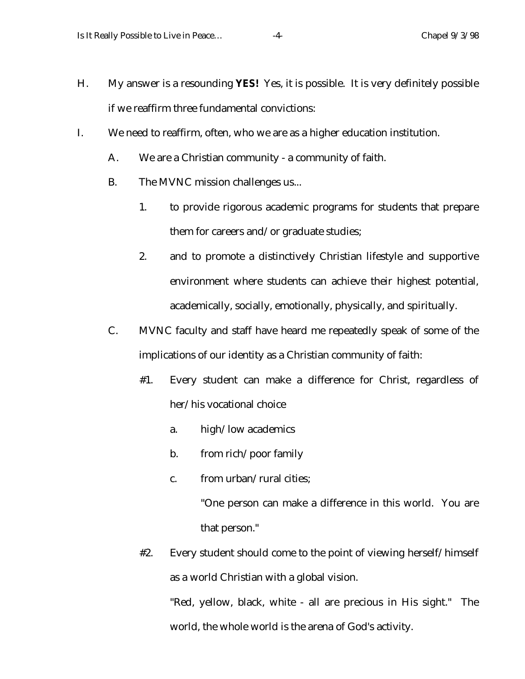- H. My answer is a resounding **YES!** Yes, it is possible. It is very definitely possible if we reaffirm three fundamental convictions:
- I. We need to reaffirm, often, who we are as a higher education institution.
	- A. We are a Christian community a community of faith.
	- B. The MVNC mission challenges us...
		- 1. to provide rigorous academic programs for students that prepare them for careers and/or graduate studies;
		- 2. and to promote a distinctively Christian lifestyle and supportive environment where students can achieve their highest potential, academically, socially, emotionally, physically, and spiritually.
	- C. MVNC faculty and staff have heard me repeatedly speak of some of the implications of our identity as a Christian community of faith:
		- #1. Every student can make a difference for Christ, regardless of her/his vocational choice
			- a. high/low academics
			- b. from rich/poor family
			- c. from urban/rural cities;

"One person can make a difference in this world. You are that person."

#2. Every student should come to the point of viewing herself/himself as a world Christian with a global vision.

"Red, yellow, black, white - all are precious in His sight." The world, the whole world is the arena of God's activity.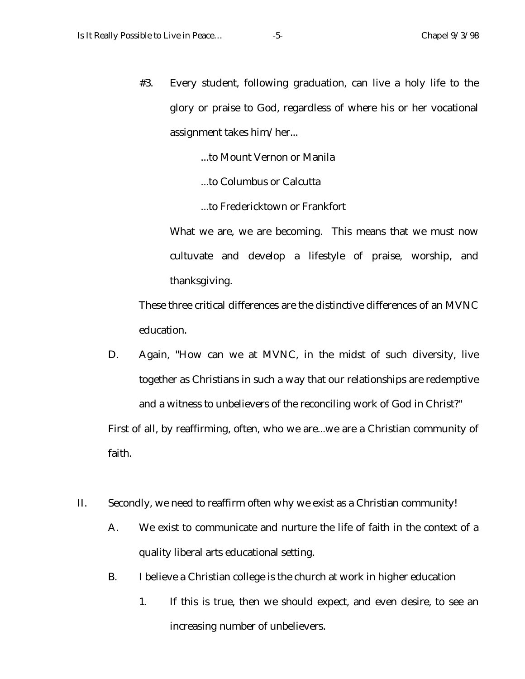#3. Every student, following graduation, can live a holy life to the glory or praise to God, regardless of where his or her vocational assignment takes him/her...

...to Mount Vernon or Manila

...to Columbus or Calcutta

...to Fredericktown or Frankfort

What we are, we are becoming. This means that we must now cultuvate and develop a lifestyle of praise, worship, and thanksgiving.

These three critical differences are the distinctive differences of an MVNC education.

- D. Again, "How can we at MVNC, in the midst of such diversity, live together as Christians in such a way that our relationships are redemptive and a witness to unbelievers of the reconciling work of God in Christ?" First of all, by reaffirming, often, who we are...we are a Christian community of faith.
- II. Secondly, we need to reaffirm often why we exist as a Christian community!
	- A. We exist to communicate and nurture the life of faith in the context of a quality liberal arts educational setting.
	- B. I believe a Christian college is the church at work in higher education
		- 1. If this is true, then we should expect, and even desire, to see an increasing number of unbelievers.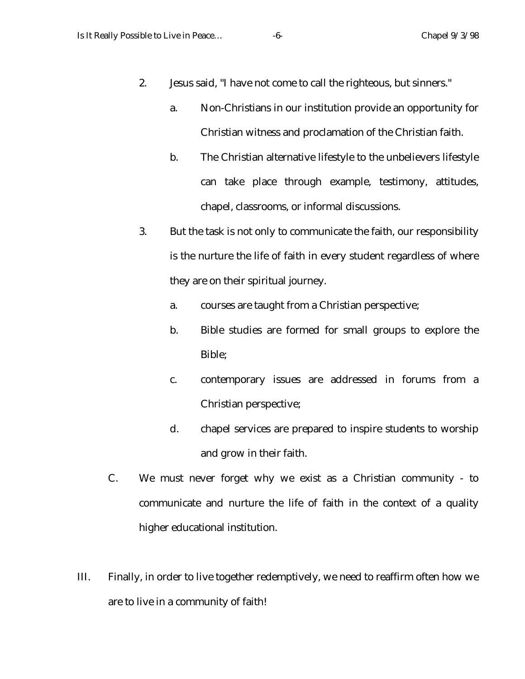- 2. Jesus said, "I have not come to call the righteous, but sinners."
	- a. Non-Christians in our institution provide an opportunity for Christian witness and proclamation of the Christian faith.
	- b. The Christian alternative lifestyle to the unbelievers lifestyle can take place through example, testimony, attitudes, chapel, classrooms, or informal discussions.
- 3. But the task is not only to communicate the faith, our responsibility is the nurture the life of faith in every student regardless of where they are on their spiritual journey.
	- a. courses are taught from a Christian perspective;
	- b. Bible studies are formed for small groups to explore the Bible;
	- c. contemporary issues are addressed in forums from a Christian perspective;
	- d. chapel services are prepared to inspire students to worship and grow in their faith.
- C. We must never forget why we exist as a Christian community to communicate and nurture the life of faith in the context of a quality higher educational institution.
- III. Finally, in order to live together redemptively, we need to reaffirm often how we are to live in a community of faith!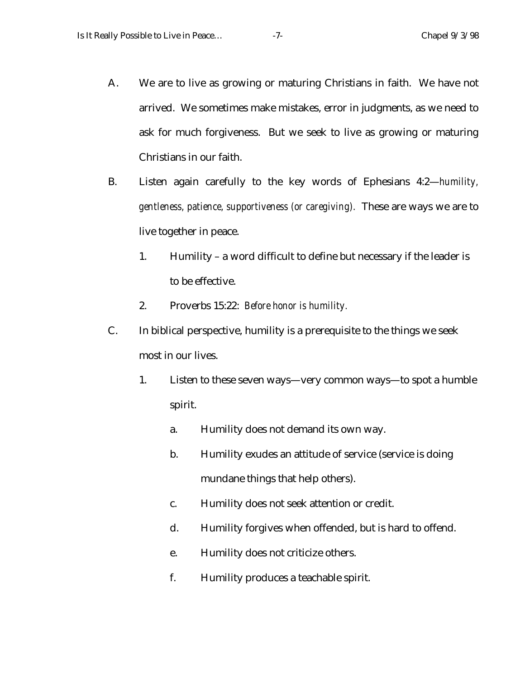- A. We are to live as growing or maturing Christians in faith. We have not arrived. We sometimes make mistakes, error in judgments, as we need to ask for much forgiveness. But we seek to live as growing or maturing Christians in our faith.
- B. Listen again carefully to the key words of Ephesians 4:2—*humility, gentleness, patience, supportiveness (or caregiving).* These are ways we are to live together in peace.
	- 1. Humility a word difficult to define but necessary if the leader is to be effective.
	- 2. Proverbs 15:22: *Before honor is humility.*
- C. In biblical perspective, humility is a prerequisite to the things we seek most in our lives.
	- 1. Listen to these seven ways—very common ways—to spot a humble spirit.
		- a. Humility does not demand its own way.
		- b. Humility exudes an attitude of service (service is doing mundane things that help others).
		- c. Humility does not seek attention or credit.
		- d. Humility forgives when offended, but is hard to offend.
		- e. Humility does not criticize others.
		- f. Humility produces a teachable spirit.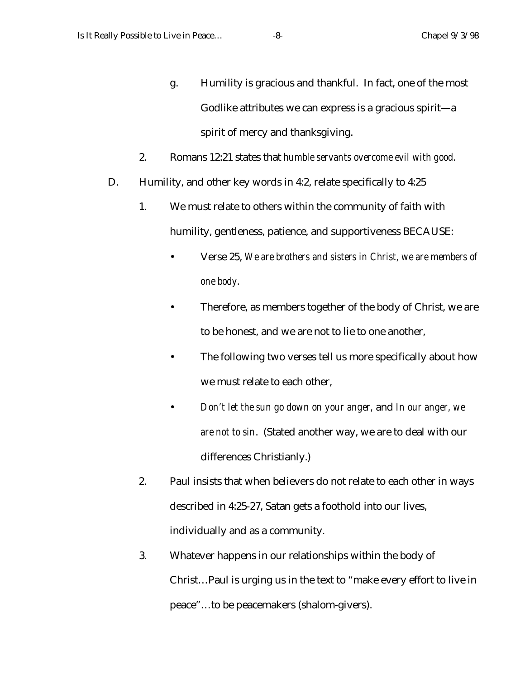- g. Humility is gracious and thankful. In fact, one of the most Godlike attributes we can express is a gracious spirit—a spirit of mercy and thanksgiving.
- 2. Romans 12:21 states that *humble servants overcome evil with good.*
- D. Humility, and other key words in 4:2, relate specifically to 4:25
	- 1. We must relate to others within the community of faith with humility, gentleness, patience, and supportiveness BECAUSE:
		- Verse 25, *We are brothers and sisters in Christ, we are members of one body.*
		- Therefore, as members together of the body of Christ, we are to be honest, and we are not to lie to one another,
		- The following two verses tell us more specifically about how we must relate to each other,
		- *Don't let the sun go down on your anger,* and *In our anger, we are not to sin*. (Stated another way, we are to deal with our differences Christianly.)
	- 2. Paul insists that when believers do not relate to each other in ways described in 4:25-27, Satan gets a foothold into our lives, individually and as a community.
	- 3. Whatever happens in our relationships within the body of Christ…Paul is urging us in the text to "make every effort to live in peace"…to be peacemakers (shalom-givers).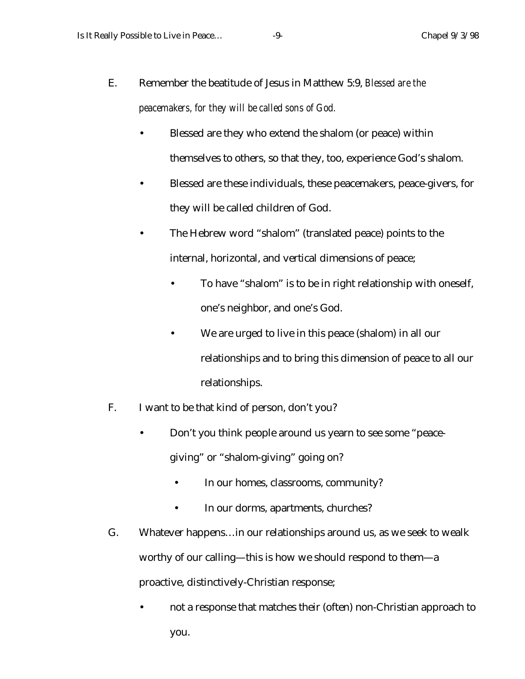- E. Remember the beatitude of Jesus in Matthew 5:9, *Blessed are the peacemakers, for they will be called sons of God.*
	- Blessed are they who extend the shalom (or peace) within themselves to others, so that they, too, experience God's shalom.
	- Blessed are these individuals, these peacemakers, peace-givers, for they will be called children of God.
	- The Hebrew word "shalom" (translated peace) points to the internal, horizontal, and vertical dimensions of peace;
		- To have "shalom" is to be in right relationship with oneself, one's neighbor, and one's God.
		- We are urged to live in this peace (shalom) in all our relationships and to bring this dimension of peace to all our relationships.
- F. I want to be that kind of person, don't you?
	- Don't you think people around us yearn to see some "peacegiving" or "shalom-giving" going on?
		- In our homes, classrooms, community?
		- In our dorms, apartments, churches?
- G. Whatever happens…in our relationships around us, as we seek to wealk worthy of our calling—this is how we should respond to them—a proactive, distinctively-Christian response;
	- not a response that matches their (often) non-Christian approach to you.